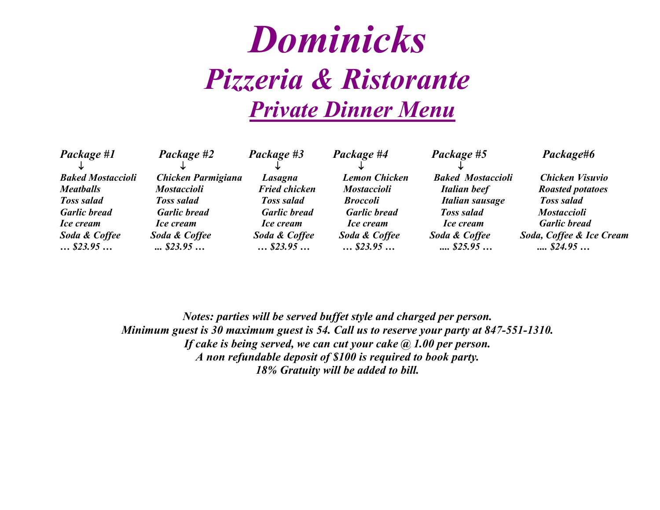## *Dominicks Pizzeria & Ristorante Private Dinner Menu*

| Package #1                  | Package #2                  | Package #3                  | Package #4                  | Package #5                               | Package#6                                             |
|-----------------------------|-----------------------------|-----------------------------|-----------------------------|------------------------------------------|-------------------------------------------------------|
| <b>Baked Mostaccioli</b>    | Chicken Parmigiana          | Lasagna                     | <b>Lemon Chicken</b>        | <b>Baked Mostaccioli</b>                 | Chicken Visuvio                                       |
| <b>Meatballs</b>            | <b>Mostaccioli</b>          | <b>Fried chicken</b>        | <b>Mostaccioli</b>          | Italian beef                             | <b>Roasted potatoes</b>                               |
| <b>Toss salad</b>           | <b>Toss salad</b>           | <b>Toss salad</b>           | <b>Broccoli</b>             | Italian sausage                          | <b>Toss salad</b>                                     |
| <b>Garlic bread</b>         | <b>Garlic bread</b>         | <b>Garlic bread</b>         | <b>Garlic bread</b>         | <b>Toss salad</b>                        | <b>Mostaccioli</b>                                    |
| <i>Ice cream</i>            | <i>Ice cream</i>            | <i>Ice cream</i>            | <i>Ice cream</i>            | <i>Ice cream</i>                         | <b>Garlic bread</b>                                   |
| Soda & Coffee<br>$$ \$23.95 | Soda & Coffee<br>$$ \$23.95 | Soda & Coffee<br>$$ \$23.95 | Soda & Coffee<br>$$ \$23.95 | Soda & Coffee<br>$\dots$ \$25.95 $\dots$ | Soda, Coffee & Ice Cream<br>$\ldots$ \$24.95 $\ldots$ |

*Notes: parties will be served buffet style and charged per person. Minimum guest is 30 maximum guest is 54. Call us to reserve your party at 847-551-1310. If cake is being served, we can cut your cake @ 1.00 per person. A non refundable deposit of \$100 is required to book party. 18% Gratuity will be added to bill.*